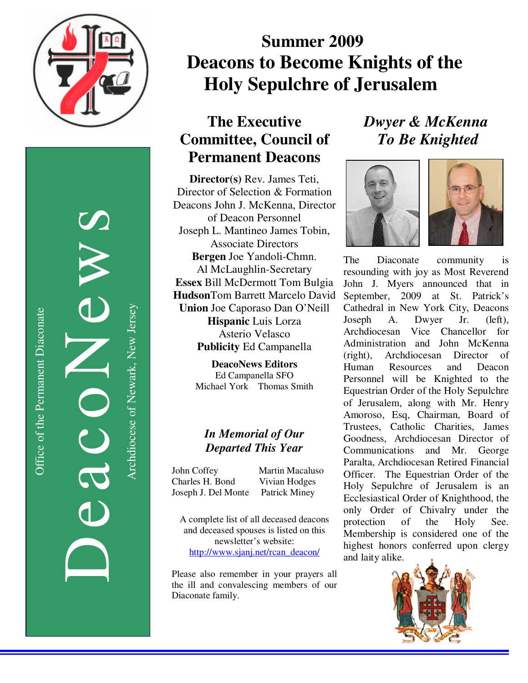

DeacoNews News NEWS Archdiocese of Newark, New Jersey Archdiocese of Newark, New Jersey

# **Summer 2009 Deacons to Become Knights of the Holy Sepulchre of Jerusalem**

### **The Executive Committee, Council of Permanent Deacons**

**Director(s)** Rev. James Teti, Director of Selection & Formation Deacons John J. McKenna, Director of Deacon Personnel Joseph L. Mantineo James Tobin, Associate Directors **Bergen** Joe Yandoli-Chmn. Al McLaughlin-Secretary **Essex** Bill McDermott Tom Bulgia **Hudson**Tom Barrett Marcelo David **Union** Joe Caporaso Dan O'Neill **Hispanic** Luis Lorza Asterio Velasco **Publicity** Ed Campanella

> **DeacoNews Editors**  Ed Campanella SFO Michael York Thomas Smith

### *In Memorial of Our Departed This Year*

John Coffey Martin Macaluso Charles H. Bond Vivian Hodges Joseph J. Del Monte Patrick Miney

A complete list of all deceased deacons and deceased spouses is listed on this newsletter's website: http://www.sjanj.net/rcan\_deacon/

Please also remember in your prayers all the ill and convalescing members of our Diaconate family.

## *Dwyer & McKenna To Be Knighted*



The Diaconate community is resounding with joy as Most Reverend John J. Myers announced that in September, 2009 at St. Patrick's Cathedral in New York City, Deacons Joseph A. Dwyer Jr. (left), Archdiocesan Vice Chancellor for Administration and John McKenna (right), Archdiocesan Director of Human Resources and Deacon Personnel will be Knighted to the Equestrian Order of the Holy Sepulchre of Jerusalem, along with Mr. Henry Amoroso, Esq, Chairman, Board of Trustees, Catholic Charities, James Goodness, Archdiocesan Director of Communications and Mr. George Paralta, Archdiocesan Retired Financial Officer. The Equestrian Order of the Holy Sepulchre of Jerusalem is an Ecclesiastical Order of Knighthood, the only Order of Chivalry under the protection of the Holy See. Membership is considered one of the highest honors conferred upon clergy and laity alike.

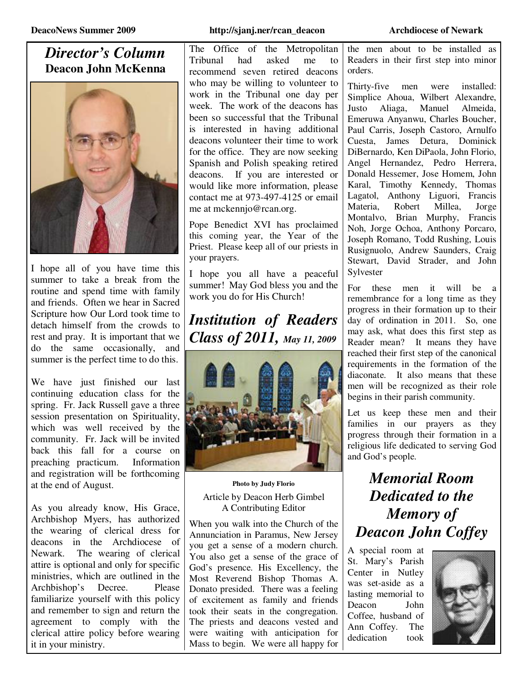### *Director's Column*  **Deacon John McKenna**



I hope all of you have time this summer to take a break from the routine and spend time with family and friends. Often we hear in Sacred Scripture how Our Lord took time to detach himself from the crowds to rest and pray. It is important that we do the same occasionally, and summer is the perfect time to do this.

We have just finished our last continuing education class for the spring. Fr. Jack Russell gave a three session presentation on Spirituality, which was well received by the community. Fr. Jack will be invited back this fall for a course on preaching practicum. Information and registration will be forthcoming at the end of August.

As you already know, His Grace, Archbishop Myers, has authorized the wearing of clerical dress for deacons in the Archdiocese of Newark. The wearing of clerical attire is optional and only for specific ministries, which are outlined in the Archbishop's Decree. Please familiarize yourself with this policy and remember to sign and return the agreement to comply with the clerical attire policy before wearing it in your ministry.

The Office of the Metropolitan Tribunal had asked me to recommend seven retired deacons who may be willing to volunteer to work in the Tribunal one day per week. The work of the deacons has been so successful that the Tribunal is interested in having additional deacons volunteer their time to work for the office. They are now seeking Spanish and Polish speaking retired deacons. If you are interested or would like more information, please contact me at 973-497-4125 or email me at mckennjo@rcan.org.

Pope Benedict XVI has proclaimed this coming year, the Year of the Priest. Please keep all of our priests in your prayers.

I hope you all have a peaceful summer! May God bless you and the work you do for His Church!

### *Institution of Readers Class of 2011, May 11, 2009*



**Photo by Judy Florio** Article by Deacon Herb Gimbel A Contributing Editor

When you walk into the Church of the Annunciation in Paramus, New Jersey you get a sense of a modern church. You also get a sense of the grace of God's presence. His Excellency, the Most Reverend Bishop Thomas A. Donato presided. There was a feeling of excitement as family and friends took their seats in the congregation. The priests and deacons vested and were waiting with anticipation for Mass to begin. We were all happy for

the men about to be installed as Readers in their first step into minor orders.

Thirty-five men were installed: Simplice Ahoua, Wilbert Alexandre, Justo Aliaga, Manuel Almeida, Emeruwa Anyanwu, Charles Boucher, Paul Carris, Joseph Castoro, Arnulfo Cuesta, James Detura, Dominick DiBernardo, Ken DiPaola, John Florio, Angel Hernandez, Pedro Herrera, Donald Hessemer, Jose Homem, John Karal, Timothy Kennedy, Thomas Lagatol, Anthony Liguori, Francis Materia, Robert Millea, Jorge Montalvo, Brian Murphy, Francis Noh, Jorge Ochoa, Anthony Porcaro, Joseph Romano, Todd Rushing, Louis Rusignuolo, Andrew Saunders, Craig Stewart, David Strader, and John Sylvester

For these men it will be a remembrance for a long time as they progress in their formation up to their day of ordination in 2011. So, one may ask, what does this first step as Reader mean? It means they have reached their first step of the canonical requirements in the formation of the diaconate. It also means that these men will be recognized as their role begins in their parish community.

Let us keep these men and their families in our prayers as they progress through their formation in a religious life dedicated to serving God and God's people.

*Memorial Room Dedicated to the Memory of Deacon John Coffey*

A special room at St. Mary's Parish Center in Nutley was set-aside as a lasting memorial to Deacon John Coffee, husband of Ann Coffey. The dedication took

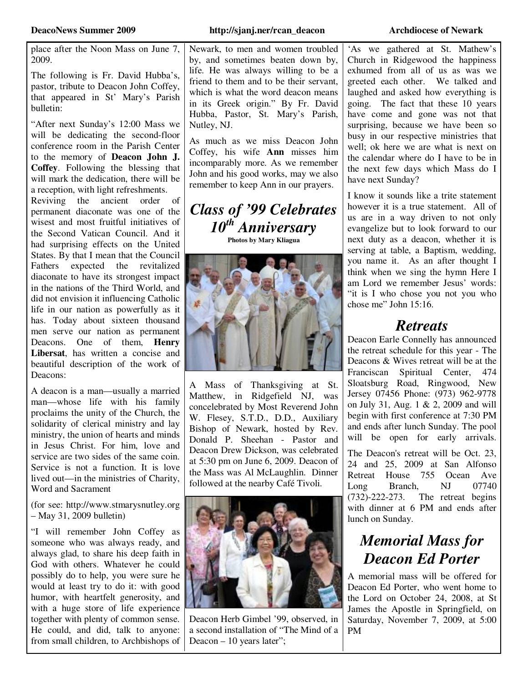place after the Noon Mass on June 7, 2009.

The following is Fr. David Hubba's, pastor, tribute to Deacon John Coffey, that appeared in St' Mary's Parish bulletin:

"After next Sunday's 12:00 Mass we will be dedicating the second-floor conference room in the Parish Center to the memory of **Deacon John J. Coffey**. Following the blessing that will mark the dedication, there will be a reception, with light refreshments.

Reviving the ancient order of permanent diaconate was one of the wisest and most fruitful initiatives of the Second Vatican Council. And it had surprising effects on the United States. By that I mean that the Council Fathers expected the revitalized diaconate to have its strongest impact in the nations of the Third World, and did not envision it influencing Catholic life in our nation as powerfully as it has. Today about sixteen thousand men serve our nation as permanent Deacons. One of them, **Henry Libersat**, has written a concise and beautiful description of the work of Deacons:

A deacon is a man—usually a married man—whose life with his family proclaims the unity of the Church, the solidarity of clerical ministry and lay ministry, the union of hearts and minds in Jesus Christ. For him, love and service are two sides of the same coin. Service is not a function. It is love lived out—in the ministries of Charity, Word and Sacrament

(for see: http://www.stmarysnutley.org – May 31, 2009 bulletin)

"I will remember John Coffey as someone who was always ready, and always glad, to share his deep faith in God with others. Whatever he could possibly do to help, you were sure he would at least try to do it: with good humor, with heartfelt generosity, and with a huge store of life experience together with plenty of common sense. He could, and did, talk to anyone: from small children, to Archbishops of

### **DeacoNews Summer 2009 http://sjanj.ner/rcan\_deacon Archdiocese of Newark**

Newark, to men and women troubled by, and sometimes beaten down by, life. He was always willing to be a friend to them and to be their servant, which is what the word deacon means in its Greek origin." By Fr. David Hubba, Pastor, St. Mary's Parish, Nutley, NJ.

As much as we miss Deacon John Coffey, his wife **Ann** misses him incomparably more. As we remember John and his good works, may we also remember to keep Ann in our prayers.

## *Class of '99 Celebrates 10th Anniversary*

**Photos by Mary Kliagua** 



A Mass of Thanksgiving at St. Matthew, in Ridgefield NJ, was concelebrated by Most Reverend John W. Flesey, S.T.D., D.D., Auxiliary Bishop of Newark, hosted by Rev. Donald P. Sheehan - Pastor and Deacon Drew Dickson, was celebrated at 5:30 pm on June 6, 2009. Deacon of the Mass was Al McLaughlin. Dinner followed at the nearby Café Tivoli.



Deacon Herb Gimbel '99, observed, in a second installation of "The Mind of a Deacon – 10 years later";

'As we gathered at St. Mathew's Church in Ridgewood the happiness exhumed from all of us as was we greeted each other. We talked and laughed and asked how everything is going. The fact that these 10 years have come and gone was not that surprising, because we have been so busy in our respective ministries that well; ok here we are what is next on the calendar where do I have to be in the next few days which Mass do I have next Sunday?

I know it sounds like a trite statement however it is a true statement. All of us are in a way driven to not only evangelize but to look forward to our next duty as a deacon, whether it is serving at table, a Baptism, wedding, you name it. As an after thought I think when we sing the hymn Here I am Lord we remember Jesus' words: "it is I who chose you not you who chose me" John 15:16.

### *Retreats*

Deacon Earle Connelly has announced the retreat schedule for this year - The Deacons & Wives retreat will be at the Franciscan Spiritual Center, 474 Sloatsburg Road, Ringwood, New Jersey 07456 Phone: (973) 962-9778 on July 31, Aug. 1 & 2, 2009 and will begin with first conference at 7:30 PM and ends after lunch Sunday. The pool will be open for early arrivals.

The Deacon's retreat will be Oct. 23, 24 and 25, 2009 at San Alfonso Retreat House 755 Ocean Ave Long Branch, NJ 07740 (732)-222-273. The retreat begins with dinner at 6 PM and ends after lunch on Sunday.

### *Memorial Mass for Deacon Ed Porter*

A memorial mass will be offered for Deacon Ed Porter, who went home to the Lord on October 24, 2008, at St James the Apostle in Springfield, on Saturday, November 7, 2009, at 5:00 PM